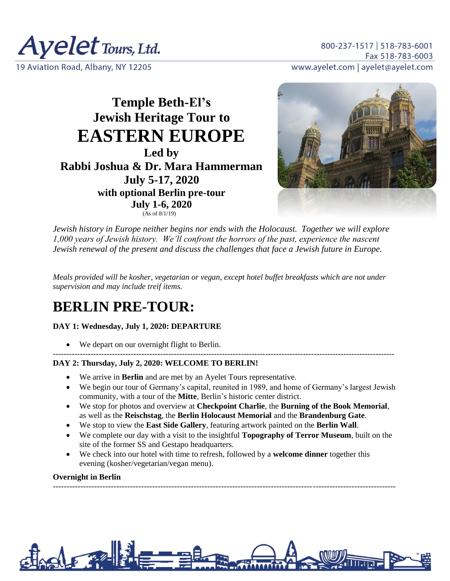

19 Aviation Road, Albany, NY 12205

## **Temple Beth-El's Jewish Heritage Tour to EASTERN EUROPE Led by Rabbi Joshua & Dr. Mara Hammerman July 5-17, 2020 with optional Berlin pre-tour July 1-6, 2020**

 $(As of 8/1/19)$ 



*Jewish history in Europe neither begins nor ends with the Holocaust. Together we will explore 1,000 years of Jewish history. We'll confront the horrors of the past, experience the nascent Jewish renewal of the present and discuss the challenges that face a Jewish future in Europe.* 

*Meals provided will be kosher, vegetarian or vegan, except hotel buffet breakfasts which are not under supervision and may include treif items.*

# **BERLIN PRE-TOUR:**

#### **DAY 1: Wednesday, July 1, 2020: DEPARTURE**

We depart on our overnight flight to Berlin.

#### ------------------------------------------------------------------------------------------------------------------------------- **DAY 2: Thursday, July 2, 2020: WELCOME TO BERLIN!**

- We arrive in **Berlin** and are met by an Ayelet Tours representative.
- We begin our tour of Germany's capital, reunited in 1989, and home of Germany's largest Jewish community, with a tour of the **Mitte**, Berlin's historic center district.
- We stop for photos and overview at **Checkpoint Charlie**, the **Burning of the Book Memorial**, as well as the **Reischstag**, the **Berlin Holocaust Memorial** and the **Brandenburg Gate**.
- We stop to view the **East Side Gallery**, featuring artwork painted on the **Berlin Wall**.
- We complete our day with a visit to the insightful **Topography of Terror Museum**, built on the site of the former SS and Gestapo headquarters.
- We check into our hotel with time to refresh, followed by a **welcome dinner** together this evening (kosher/vegetarian/vegan menu).

----------------------------------------------------------------------------------------------------------------------------

#### **Overnight in Berlin**

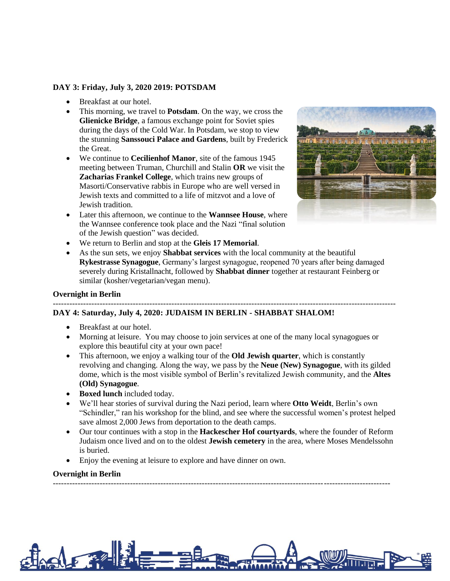#### **DAY 3: Friday, July 3, 2020 2019: POTSDAM**

- Breakfast at our hotel.
- This morning, we travel to **Potsdam**. On the way, we cross the **Glienicke Bridge**, a famous exchange point for Soviet spies during the days of the Cold War. In Potsdam, we stop to view the stunning **Sanssouci Palace and Gardens**, built by Frederick the Great.
- We continue to **Cecilienhof Manor**, site of the famous 1945 meeting between Truman, Churchill and Stalin **OR** we visit the **Zacharias Frankel College**, which trains new groups of Masorti/Conservative rabbis in Europe who are well versed in Jewish texts and committed to a life of mitzvot and a love of Jewish tradition.
- Later this afternoon, we continue to the **Wannsee House**, where the Wannsee conference took place and the Nazi "final solution of the Jewish question" was decided.



- We return to Berlin and stop at the **Gleis 17 Memorial**.
- As the sun sets, we enjoy **Shabbat services** with the local community at the beautiful **Rykestrasse Synagogue**, Germany's largest synagogue, reopened 70 years after being damaged severely during Kristallnacht, followed by **Shabbat dinner** together at restaurant Feinberg or similar (kosher/vegetarian/vegan menu).

#### **Overnight in Berlin**

#### ---------------------------------------------------------------------------------------------------------------------------- **DAY 4: Saturday, July 4, 2020: JUDAISM IN BERLIN - SHABBAT SHALOM!**

- Breakfast at our hotel.
- Morning at leisure. You may choose to join services at one of the many local synagogues or explore this beautiful city at your own pace!
- This afternoon, we enjoy a walking tour of the **Old Jewish quarter**, which is constantly revolving and changing. Along the way, we pass by the **Neue (New) Synagogue**, with its gilded dome, which is the most visible symbol of Berlin's revitalized Jewish community, and the **Altes (Old) Synagogue**.
- **Boxed lunch** included today.
- We'll hear stories of survival during the Nazi period, learn where **Otto Weidt**, Berlin's own "Schindler," ran his workshop for the blind, and see where the successful women's protest helped save almost 2,000 Jews from deportation to the death camps.
- Our tour continues with a stop in the **Hackescher Hof courtyards**, where the founder of Reform Judaism once lived and on to the oldest **Jewish cemetery** in the area, where Moses Mendelssohn is buried.

--------------------------------------------------------------------------------------------------------------------------

• Enjoy the evening at leisure to explore and have dinner on own.

#### **Overnight in Berlin**

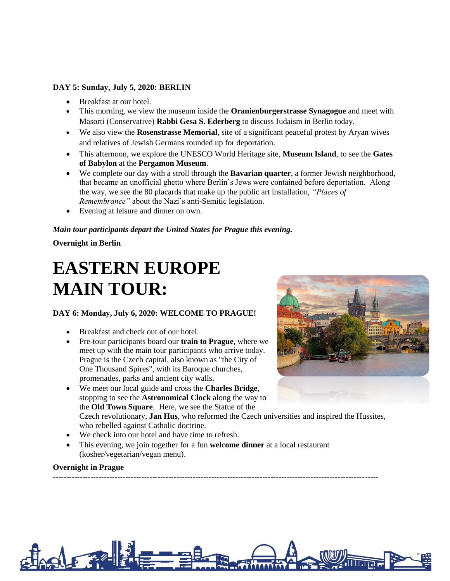#### **DAY 5: Sunday, July 5, 2020: BERLIN**

- Breakfast at our hotel.
- This morning, we view the museum inside the **Oranienburgerstrasse Synagogue** and meet with Masorti (Conservative) **Rabbi Gesa S. Ederberg** to discuss Judaism in Berlin today.
- We also view the **Rosenstrasse Memorial**, site of a significant peaceful protest by Aryan wives and relatives of Jewish Germans rounded up for deportation.
- This afternoon, we explore the UNESCO World Heritage site, **Museum Island**, to see the **Gates of Babylon** at the **Pergamon Museum**.
- We complete our day with a stroll through the **Bavarian quarter**, a former Jewish neighborhood, that became an unofficial ghetto where Berlin's Jews were contained before deportation. Along the way, we see the 80 placards that make up the public art installation, *"Places of Remembrance"* about the Nazi's anti-Semitic legislation.
- Evening at leisure and dinner on own.

#### *Main tour participants depart the United States for Prague this evening.*

#### **Overnight in Berlin**

# **EASTERN EUROPE MAIN TOUR:**

#### **DAY 6: Monday, July 6, 2020: WELCOME TO PRAGUE!**

- Breakfast and check out of our hotel.
- Pre-tour participants board our **train to Prague**, where we meet up with the main tour participants who arrive today. Prague is the Czech capital, also known as "the City of One Thousand Spires", with its Baroque churches, promenades, parks and ancient city walls.
- We meet our local guide and cross the **Charles Bridge**, stopping to see the **Astronomical Clock** along the way to the **Old Town Square**. Here, we see the Statue of the Czech revolutionary, **Jan Hus**, who reformed the Czech universities and inspired the Hussites, who rebelled against Catholic doctrine.
- We check into our hotel and have time to refresh.
- This evening, we join together for a fun **welcome dinner** at a local restaurant (kosher/vegetarian/vegan menu).

-------------------------------------------------------------------------------------------------------------------------

#### **Overnight in Prague**



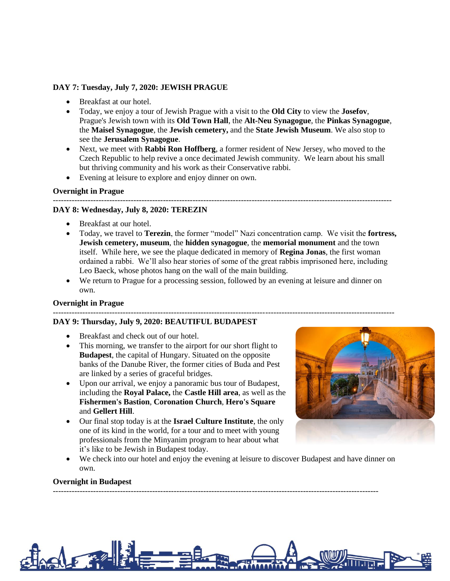#### **DAY 7: Tuesday, July 7, 2020: JEWISH PRAGUE**

- Breakfast at our hotel.
- Today, we enjoy a tour of Jewish Prague with a visit to the **Old City** to view the **Josefov**, Prague's Jewish town with its **Old Town Hall**, the **Alt-Neu Synagogue**, the **Pinkas Synagogue**, the **Maisel Synagogue**, the **Jewish cemetery,** and the **State Jewish Museum**. We also stop to see the **Jerusalem Synagogue**.
- Next, we meet with **Rabbi Ron Hoffberg**, a former resident of New Jersey, who moved to the Czech Republic to help revive a once decimated Jewish community. We learn about his small but thriving community and his work as their Conservative rabbi.
- Evening at leisure to explore and enjoy dinner on own.

#### **Overnight in Prague**

#### **DAY 8: Wednesday, July 8, 2020: TEREZIN**

• Breakfast at our hotel.

------------------------------------------------------------------------------------------------------------------------------

- Today, we travel to **Terezin**, the former "model" Nazi concentration camp. We visit the **fortress, Jewish cemetery, museum**, the **hidden synagogue**, the **memorial monument** and the town itself. While here, we see the plaque dedicated in memory of **Regina Jonas**, the first woman ordained a rabbi. We'll also hear stories of some of the great rabbis imprisoned here, including Leo Baeck, whose photos hang on the wall of the main building.
- We return to Prague for a processing session, followed by an evening at leisure and dinner on own.

#### **Overnight in Prague**

#### ------------------------------------------------------------------------------------------------------------------------------- **DAY 9: Thursday, July 9, 2020: BEAUTIFUL BUDAPEST**

- Breakfast and check out of our hotel.
- This morning, we transfer to the airport for our short flight to **Budapest**, the capital of Hungary. Situated on the opposite banks of the Danube River, the former cities of Buda and Pest are linked by a series of graceful bridges.
- Upon our arrival, we enjoy a panoramic bus tour of Budapest, including the **Royal Palace,** the **Castle Hill area**, as well as the **Fishermen's Bastion**, **Coronation Church**, **Hero's Square** and **Gellert Hill**.
- Our final stop today is at the **Israel Culture Institute**, the only one of its kind in the world, for a tour and to meet with young professionals from the Minyanim program to hear about what it's like to be Jewish in Budapest today.



We check into our hotel and enjoy the evening at leisure to discover Budapest and have dinner on own.

-------------------------------------------------------------------------------------------------------------------------

#### **Overnight in Budapest**

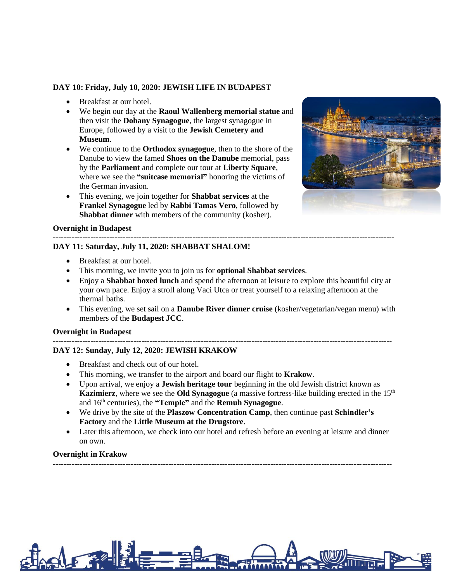#### **DAY 10: Friday, July 10, 2020: JEWISH LIFE IN BUDAPEST**

- Breakfast at our hotel.
- We begin our day at the **Raoul Wallenberg memorial statue** and then visit the **Dohany Synagogue**, the largest synagogue in Europe, followed by a visit to the **Jewish Cemetery and Museum**.
- We continue to the **Orthodox synagogue**, then to the shore of the Danube to view the famed **Shoes on the Danube** memorial, pass by the **Parliament** and complete our tour at **Liberty Square**, where we see the **"suitcase memorial"** honoring the victims of the German invasion.
- This evening, we join together for **Shabbat services** at the **Frankel Synagogue** led by **Rabbi Tamas Vero**, followed by **Shabbat dinner** with members of the community (kosher).



#### **Overnight in Budapest**

#### ------------------------------------------------------------------------------------------------------------------------------- **DAY 11: Saturday, July 11, 2020: SHABBAT SHALOM!**

- Breakfast at our hotel.
- This morning, we invite you to join us for **optional Shabbat services**.
- Enjoy a **Shabbat boxed lunch** and spend the afternoon at leisure to explore this beautiful city at your own pace. Enjoy a stroll along Vaci Utca or treat yourself to a relaxing afternoon at the thermal baths.
- This evening, we set sail on a **Danube River dinner cruise** (kosher/vegetarian/vegan menu) with members of the **Budapest JCC**.

#### **Overnight in Budapest**

#### **DAY 12: Sunday, July 12, 2020: JEWISH KRAKOW**

- Breakfast and check out of our hotel.
- This morning, we transfer to the airport and board our flight to **Krakow**.
- Upon arrival, we enjoy a **Jewish heritage tour** beginning in the old Jewish district known as **Kazimierz**, where we see the **Old Synagogue** (a massive fortress-like building erected in the 15<sup>th</sup> and 16th centuries), the **"Temple"** and the **Remuh Synagogue**.
- We drive by the site of the **Plaszow Concentration Camp**, then continue past **Schindler's Factory** and the **Little Museum at the Drugstore**.
- Later this afternoon, we check into our hotel and refresh before an evening at leisure and dinner on own.

#### **Overnight in Krakow**

------------------------------------------------------------------------------------------------------------------------------

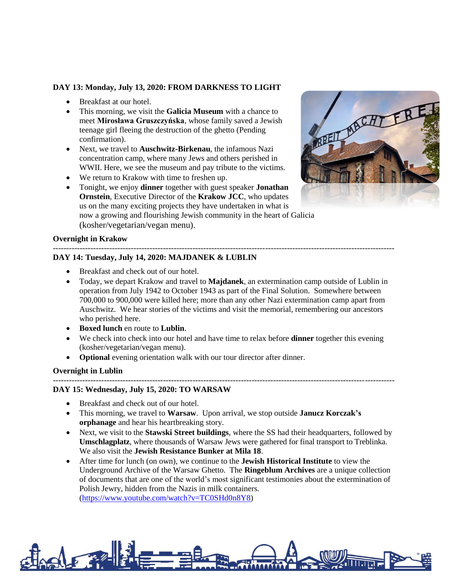#### **DAY 13: Monday, July 13, 2020: FROM DARKNESS TO LIGHT**

- Breakfast at our hotel.
- This morning, we visit the **Galicia Museum** with a chance to meet **Mirosława Gruszczyńska**, whose family saved a Jewish teenage girl fleeing the destruction of the ghetto (Pending confirmation).
- Next, we travel to **Auschwitz-Birkenau**, the infamous Nazi concentration camp, where many Jews and others perished in WWII. Here, we see the museum and pay tribute to the victims.
- We return to Krakow with time to freshen up.
- Tonight, we enjoy **dinner** together with guest speaker **Jonathan Ornstein**, Executive Director of the **Krakow JCC**, who updates us on the many exciting projects they have undertaken in what is now a growing and flourishing Jewish community in the heart of Galicia (kosher/vegetarian/vegan menu).



#### **Overnight in Krakow**

#### **DAY 14: Tuesday, July 14, 2020: MAJDANEK & LUBLIN**

- Breakfast and check out of our hotel.
- Today, we depart Krakow and travel to **Majdanek**, an extermination camp outside of Lublin in operation from July 1942 to October 1943 as part of the Final Solution. Somewhere between 700,000 to 900,000 were killed here; more than any other Nazi extermination camp apart from Auschwitz. We hear stories of the victims and visit the memorial, remembering our ancestors who perished here.
- **Boxed lunch** en route to **Lublin**.
- We check into check into our hotel and have time to relax before **dinner** together this evening (kosher/vegetarian/vegan menu).

-------------------------------------------------------------------------------------------------------------------------------

• **Optional** evening orientation walk with our tour director after dinner.

#### **Overnight in Lublin**

#### **DAY 15: Wednesday, July 15, 2020: TO WARSAW**

- Breakfast and check out of our hotel.
- This morning, we travel to **Warsaw**. Upon arrival, we stop outside **Janucz Korczak's orphanage** and hear his heartbreaking story.
- Next, we visit to the **Stawski Street buildings**, where the SS had their headquarters, followed by **Umschlagplatz**, where thousands of Warsaw Jews were gathered for final transport to Treblinka. We also visit the **Jewish Resistance Bunker at Mila 18**.
- After time for lunch (on own), we continue to the **Jewish Historical Institute** to view the Underground Archive of the Warsaw Ghetto. The **Ringeblum Archives** are a unique collection of documents that are one of the world's most significant testimonies about the extermination of Polish Jewry, hidden from the Nazis in milk containers. [\(https://www.youtube.com/watch?v=TC0SHd0n8Y8\)](https://www.youtube.com/watch?v=TC0SHd0n8Y8)